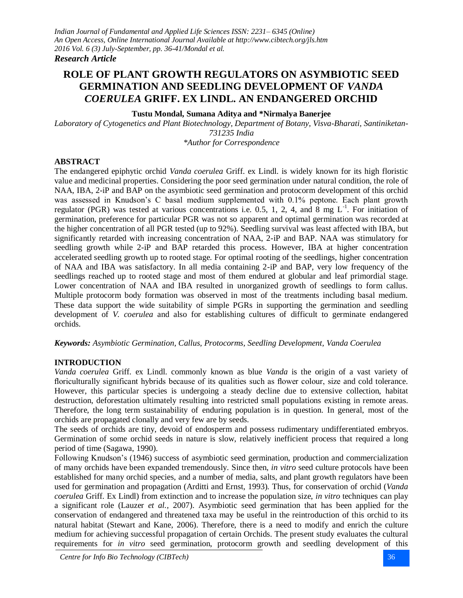#### *Research Article*

# **ROLE OF PLANT GROWTH REGULATORS ON ASYMBIOTIC SEED GERMINATION AND SEEDLING DEVELOPMENT OF** *VANDA COERULEA* **GRIFF. EX LINDL. AN ENDANGERED ORCHID**

#### **Tustu Mondal, Sumana Aditya and \*Nirmalya Banerjee**

*Laboratory of Cytogenetics and Plant Biotechnology, Department of Botany, Visva-Bharati, Santiniketan-731235 India \*Author for Correspondence*

#### **ABSTRACT**

The endangered epiphytic orchid *Vanda coerulea* Griff. ex Lindl. is widely known for its high floristic value and medicinal properties. Considering the poor seed germination under natural condition, the role of NAA, IBA, 2-iP and BAP on the asymbiotic seed germination and protocorm development of this orchid was assessed in Knudson's C basal medium supplemented with 0.1% peptone. Each plant growth regulator (PGR) was tested at various concentrations i.e. 0.5, 1, 2, 4, and 8 mg  $L^{-1}$ . For initiation of germination, preference for particular PGR was not so apparent and optimal germination was recorded at the higher concentration of all PGR tested (up to 92%). Seedling survival was least affected with IBA, but significantly retarded with increasing concentration of NAA, 2-iP and BAP. NAA was stimulatory for seedling growth while 2-iP and BAP retarded this process. However, IBA at higher concentration accelerated seedling growth up to rooted stage. For optimal rooting of the seedlings, higher concentration of NAA and IBA was satisfactory. In all media containing 2-iP and BAP, very low frequency of the seedlings reached up to rooted stage and most of them endured at globular and leaf primordial stage. Lower concentration of NAA and IBA resulted in unorganized growth of seedlings to form callus. Multiple protocorm body formation was observed in most of the treatments including basal medium. These data support the wide suitability of simple PGRs in supporting the germination and seedling development of *V. coerulea* and also for establishing cultures of difficult to germinate endangered orchids.

#### *Keywords: Asymbiotic Germination, Callus, Protocorms, Seedling Development, Vanda Coerulea*

#### **INTRODUCTION**

*Vanda coerulea* Griff. ex Lindl. commonly known as blue *Vanda* is the origin of a vast variety of floriculturally significant hybrids because of its qualities such as flower colour, size and cold tolerance. However, this particular species is undergoing a steady decline due to extensive collection, habitat destruction, deforestation ultimately resulting into restricted small populations existing in remote areas. Therefore, the long term sustainability of enduring population is in question. In general, most of the orchids are propagated clonally and very few are by seeds.

The seeds of orchids are tiny, devoid of endosperm and possess rudimentary undifferentiated embryos. Germination of some orchid seeds in nature is slow, relatively inefficient process that required a long period of time (Sagawa, 1990).

Following Knudson's (1946) success of asymbiotic seed germination, production and commercialization of many orchids have been expanded tremendously. Since then, *in vitro* seed culture protocols have been established for many orchid species, and a number of media, salts, and plant growth regulators have been used for germination and propagation (Arditti and Ernst, 1993). Thus, for conservation of orchid (*Vanda coerulea* Griff. Ex Lindl) from extinction and to increase the population size, *in vitro* techniques can play a significant role (Lauzer *et al.,* 2007). Asymbiotic seed germination that has been applied for the conservation of endangered and threatened taxa may be useful in the reintroduction of this orchid to its natural habitat (Stewart and Kane, 2006). Therefore, there is a need to modify and enrich the culture medium for achieving successful propagation of certain Orchids. The present study evaluates the cultural requirements for *in vitro* seed germination, protocorm growth and seedling development of this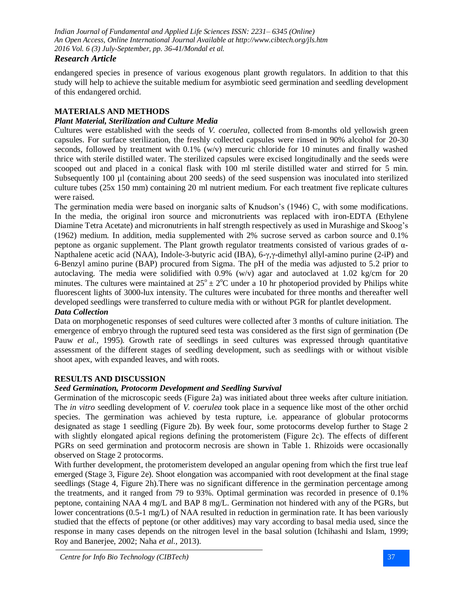# *Research Article*

endangered species in presence of various exogenous plant growth regulators. In addition to that this study will help to achieve the suitable medium for asymbiotic seed germination and seedling development of this endangered orchid.

# **MATERIALS AND METHODS**

## *Plant Material, Sterilization and Culture Media*

Cultures were established with the seeds of *V. coerulea*, collected from 8-months old yellowish green capsules. For surface sterilization, the freshly collected capsules were rinsed in 90% alcohol for 20-30 seconds, followed by treatment with 0.1% (w/v) mercuric chloride for 10 minutes and finally washed thrice with sterile distilled water. The sterilized capsules were excised longitudinally and the seeds were scooped out and placed in a conical flask with 100 ml sterile distilled water and stirred for 5 min. Subsequently 100 µl (containing about 200 seeds) of the seed suspension was inoculated into sterilized culture tubes (25x 150 mm) containing 20 ml nutrient medium. For each treatment five replicate cultures were raised.

The germination media were based on inorganic salts of Knudson's (1946) C, with some modifications. In the media, the original iron source and micronutrients was replaced with iron-EDTA (Ethylene Diamine Tetra Acetate) and micronutrients in half strength respectively as used in Murashige and Skoog's (1962) medium. In addition, media supplemented with 2% sucrose served as carbon source and 0.1% peptone as organic supplement. The Plant growth regulator treatments consisted of various grades of α-Napthalene acetic acid (NAA), Indole-3-butyric acid (IBA), 6-γ,γ-dimethyl allyl-amino purine (2-iP) and 6-Benzyl amino purine (BAP) procured from Sigma. The pH of the media was adjusted to 5.2 prior to autoclaving. The media were solidified with 0.9% (w/v) agar and autoclaved at 1.02 kg/cm for 20 minutes. The cultures were maintained at  $25^{\circ} \pm 2^{\circ}$ C under a 10 hr photoperiod provided by Philips white fluorescent lights of 3000-lux intensity. The cultures were incubated for three months and thereafter well developed seedlings were transferred to culture media with or without PGR for plantlet development.

#### *Data Collection*

Data on morphogenetic responses of seed cultures were collected after 3 months of culture initiation. The emergence of embryo through the ruptured seed testa was considered as the first sign of germination (De Pauw *et al.,* 1995). Growth rate of seedlings in seed cultures was expressed through quantitative assessment of the different stages of seedling development, such as seedlings with or without visible shoot apex, with expanded leaves, and with roots.

## **RESULTS AND DISCUSSION**

## *Seed Germination, Protocorm Development and Seedling Survival*

Germination of the microscopic seeds (Figure 2a) was initiated about three weeks after culture initiation. The *in vitro* seedling development of *V. coerulea* took place in a sequence like most of the other orchid species. The germination was achieved by testa rupture, i.e. appearance of globular protocorms designated as stage 1 seedling (Figure 2b). By week four, some protocorms develop further to Stage 2 with slightly elongated apical regions defining the protomeristem (Figure 2c). The effects of different PGRs on seed germination and protocorm necrosis are shown in Table 1. Rhizoids were occasionally observed on Stage 2 protocorms.

With further development, the protomeristem developed an angular opening from which the first true leaf emerged (Stage 3, Figure 2e). Shoot elongation was accompanied with root development at the final stage seedlings (Stage 4, Figure 2h).There was no significant difference in the germination percentage among the treatments, and it ranged from 79 to 93%. Optimal germination was recorded in presence of 0.1% peptone, containing NAA 4 mg/L and BAP 8 mg/L. Germination not hindered with any of the PGRs, but lower concentrations (0.5-1 mg/L) of NAA resulted in reduction in germination rate. It has been variously studied that the effects of peptone (or other additives) may vary according to basal media used, since the response in many cases depends on the nitrogen level in the basal solution (Ichihashi and Islam, 1999; Roy and Banerjee, 2002; Naha *et al.,* 2013).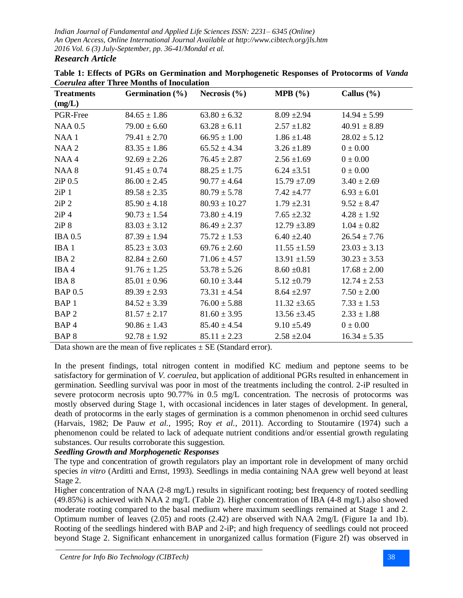**Treatments (mg/L) Germination (%) Necrosis (%) MPB (%) Callus (%)** PGR-Free  $84.65 \pm 1.86$   $63.80 \pm 6.32$   $8.09 \pm 2.94$   $14.94 \pm 5.99$ NAA  $0.5$  79.00  $\pm$  6.60 63.28  $\pm$  6.11 2.57  $\pm$ 1.82 40.91  $\pm$  8.89 NAA 1  $79.41 \pm 2.70$   $66.95 \pm 1.00$   $1.86 \pm 1.48$   $28.02 \pm 5.12$ NAA 2  $83.35 \pm 1.86$   $65.52 \pm 4.34$   $3.26 \pm 1.89$   $0 \pm 0.00$ NAA 4 92.69  $\pm$  2.26 76.45  $\pm$  2.87 2.56  $\pm$ 1.69 0  $\pm$  0.00 NAA 8 91.45  $\pm$  0.74 88.25  $\pm$  1.75 6.24  $\pm$ 3.51 0  $\pm$  0.00 2iP 0.5 86.00 ± 2.45 90.77 ± 4.64 15.79 ±7.09 3.40 ± 2.69 2iP 1 89.58 ± 2.35 80.79 ± 5.78 7.42 ± 4.77 6.93 ± 6.01 2iP 2 85.90  $\pm$  4.18 80.93  $\pm$  10.27 1.79  $\pm$ 2.31 9.52  $\pm$  8.47 2iP 4  $90.73 \pm 1.54$   $73.80 \pm 4.19$   $7.65 \pm 2.32$   $4.28 \pm 1.92$ 2iP 8 83.03 ± 3.12 86.49 ± 2.37 12.79 ± 3.89 1.04 ± 0.82 IBA 0.5 87.39 ± 1.94 75.72 ± 1.53 6.40 ± 2.40 26.54 ± 7.76 IBA 1 85.23  $\pm$  3.03 69.76  $\pm$  2.60 11.55  $\pm$ 1.59 23.03  $\pm$  3.13 IBA 2 82.84  $\pm$  2.60 71.06  $\pm$  4.57 13.91  $\pm$ 1.59 30.23  $\pm$  3.53 IBA 4 91.76 ± 1.25 53.78 ± 5.26 8.60 ± 0.81 17.68 ± 2.00 IBA 8 85.01 ± 0.96 60.10 ± 3.44 5.12 ± 0.79 12.74 ± 2.53 BAP 0.5 89.39 ± 2.93 73.31 ± 4.54 8.64 ± 2.97 7.50 ± 2.00 BAP 1 84.52 ± 3.39 76.00 ± 5.88 11.32 ± 3.65 7.33 ± 1.53 BAP 2 81.57 ± 2.17 81.60 ± 3.95 13.56 ± 3.45 2.33 ± 1.88 BAP 4 90.86  $\pm$  1.43 85.40  $\pm$  4.54 9.10  $\pm$  5.49 0  $\pm$  0.00 BAP 8 92.78 ± 1.92 85.11 ± 2.23 2.58 ± 2.04 16.34 ± 5.35

**Table 1: Effects of PGRs on Germination and Morphogenetic Responses of Protocorms of** *Vanda Coerulea* **after Three Months of Inoculation**

Data shown are the mean of five replicates  $\pm$  SE (Standard error).

In the present findings, total nitrogen content in modified KC medium and peptone seems to be satisfactory for germination of *V. coerulea*, but application of additional PGRs resulted in enhancement in germination. Seedling survival was poor in most of the treatments including the control. 2-iP resulted in severe protocorm necrosis upto 90.77% in 0.5 mg/L concentration. The necrosis of protocorms was mostly observed during Stage 1, with occasional incidences in later stages of development. In general, death of protocorms in the early stages of germination is a common phenomenon in orchid seed cultures (Harvais, 1982; De Pauw *et al.,* 1995; Roy *et al.,* 2011). According to Stoutamire (1974) such a phenomenon could be related to lack of adequate nutrient conditions and/or essential growth regulating substances. Our results corroborate this suggestion.

## *Seedling Growth and Morphogenetic Responses*

The type and concentration of growth regulators play an important role in development of many orchid species *in vitro* (Arditti and Ernst, 1993). Seedlings in media containing NAA grew well beyond at least Stage 2.

Higher concentration of NAA (2-8 mg/L) results in significant rooting; best frequency of rooted seedling (49.85%) is achieved with NAA 2 mg/L (Table 2). Higher concentration of IBA (4-8 mg/L) also showed moderate rooting compared to the basal medium where maximum seedlings remained at Stage 1 and 2. Optimum number of leaves (2.05) and roots (2.42) are observed with NAA 2mg/L (Figure 1a and 1b). Rooting of the seedlings hindered with BAP and 2-iP; and high frequency of seedlings could not proceed beyond Stage 2. Significant enhancement in unorganized callus formation (Figure 2f) was observed in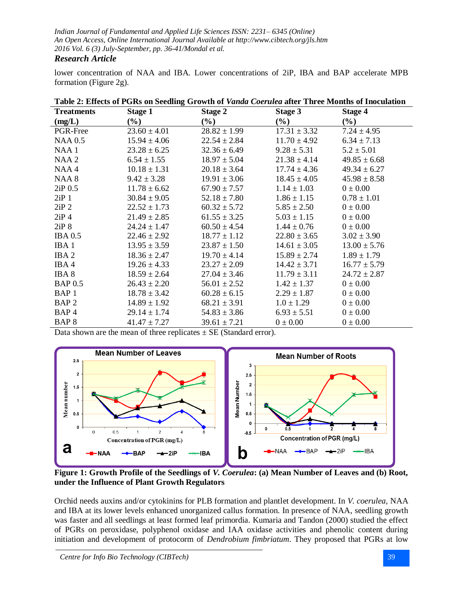## *Research Article*

lower concentration of NAA and IBA. Lower concentrations of 2iP, IBA and BAP accelerate MPB formation (Figure 2g).

| <b>Treatments</b> | <b>Stage 1</b>   | <b>Stage 2</b>             | <b>Stage 3</b>   | <b>Stage 4</b>   |
|-------------------|------------------|----------------------------|------------------|------------------|
| (mg/L)            | $(\%)$           | $\left(\frac{6}{6}\right)$ | $(\%)$           | $(\%)$           |
| PGR-Free          | $23.60 \pm 4.01$ | $28.82 \pm 1.99$           | $17.31 \pm 3.32$ | $7.24 \pm 4.95$  |
| <b>NAA 0.5</b>    | $15.94 \pm 4.06$ | $22.54 \pm 2.84$           | $11.70 \pm 4.92$ | $6.34 \pm 7.13$  |
| NAA1              | $23.28 \pm 6.25$ | $32.36 \pm 6.49$           | $9.28 \pm 5.31$  | $5.2 \pm 5.01$   |
| NAA <sub>2</sub>  | $6.54 \pm 1.55$  | $18.97 \pm 5.04$           | $21.38 \pm 4.14$ | $49.85 \pm 6.68$ |
| NAA4              | $10.18 \pm 1.31$ | $20.18 \pm 3.64$           | $17.74 \pm 4.36$ | $49.34 \pm 6.27$ |
| NAA 8             | $9.42 \pm 3.28$  | $19.91 \pm 3.06$           | $18.45 \pm 4.05$ | $45.98 \pm 8.58$ |
| 2iP 0.5           | $11.78 \pm 6.62$ | $67.90 \pm 7.57$           | $1.14 \pm 1.03$  | $0 \pm 0.00$     |
| $2iP_1$           | $30.84 \pm 9.05$ | $52.18 \pm 7.80$           | $1.86 \pm 1.15$  | $0.78 \pm 1.01$  |
| $2iP$ 2           | $22.52 \pm 1.73$ | $60.32 \pm 5.72$           | $5.85 \pm 2.50$  | $0 \pm 0.00$     |
| $2iP_4$           | $21.49 \pm 2.85$ | $61.55 \pm 3.25$           | $5.03 \pm 1.15$  | $0 \pm 0.00$     |
| 2iP8              | $24.24 \pm 1.47$ | $60.50 \pm 4.54$           | $1.44 \pm 0.76$  | $0 \pm 0.00$     |
| <b>IBA 0.5</b>    | $22.46 \pm 2.92$ | $18.77 \pm 1.12$           | $22.80 \pm 3.65$ | $3.02 \pm 3.90$  |
| IBA <sub>1</sub>  | $13.95 \pm 3.59$ | $23.87 \pm 1.50$           | $14.61 \pm 3.05$ | $13.00 \pm 5.76$ |
| IBA <sub>2</sub>  | $18.36 \pm 2.47$ | $19.70 \pm 4.14$           | $15.89 \pm 2.74$ | $1.89 \pm 1.79$  |
| IBA4              | $19.26 \pm 4.33$ | $23.27 \pm 2.09$           | $14.42 \pm 3.71$ | $16.77 \pm 5.79$ |
| IBA <sub>8</sub>  | $18.59 \pm 2.64$ | $27.04 \pm 3.46$           | $11.79 \pm 3.11$ | $24.72 \pm 2.87$ |
| <b>BAP 0.5</b>    | $26.43 \pm 2.20$ | $56.01 \pm 2.52$           | $1.42 \pm 1.37$  | $0 \pm 0.00$     |
| BAP <sub>1</sub>  | $18.78 \pm 3.42$ | $60.28 \pm 6.15$           | $2.29 \pm 1.87$  | $0 \pm 0.00$     |
| BAP <sub>2</sub>  | $14.89 \pm 1.92$ | $68.21 \pm 3.91$           | $1.0 \pm 1.29$   | $0 \pm 0.00$     |
| BAP <sub>4</sub>  | $29.14 \pm 1.74$ | $54.83 \pm 3.86$           | $6.93 \pm 5.51$  | $0 \pm 0.00$     |
| BAP <sup>8</sup>  | $41.47 \pm 7.27$ | $39.61 \pm 7.21$           | $0 \pm 0.00$     | $0 \pm 0.00$     |

**Table 2: Effects of PGRs on Seedling Growth of** *Vanda Coerulea* **after Three Months of Inoculation**

Data shown are the mean of three replicates  $\pm$  SE (Standard error).



**Figure 1: Growth Profile of the Seedlings of** *V. Coerulea***: (a) Mean Number of Leaves and (b) Root, under the Influence of Plant Growth Regulators**

Orchid needs auxins and/or cytokinins for PLB formation and plantlet development. In *V. coerulea*, NAA and IBA at its lower levels enhanced unorganized callus formation. In presence of NAA, seedling growth was faster and all seedlings at least formed leaf primordia. Kumaria and Tandon (2000) studied the effect of PGRs on peroxidase, polyphenol oxidase and IAA oxidase activities and phenolic content during initiation and development of protocorm of *Dendrobium fimbriatum*. They proposed that PGRs at low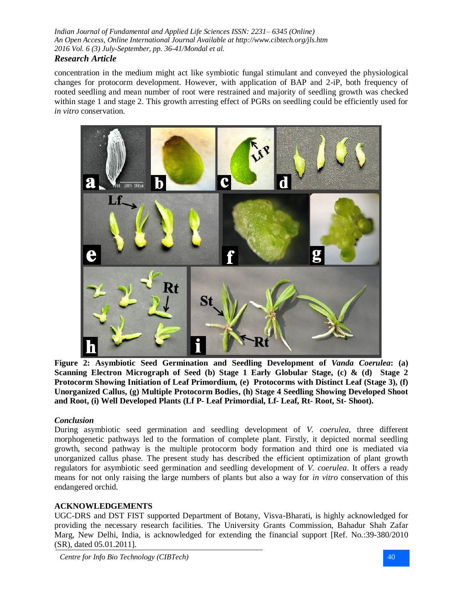## *Research Article*

concentration in the medium might act like symbiotic fungal stimulant and conveyed the physiological changes for protocorm development. However, with application of BAP and 2-iP, both frequency of rooted seedling and mean number of root were restrained and majority of seedling growth was checked within stage 1 and stage 2. This growth arresting effect of PGRs on seedling could be efficiently used for *in vitro* conservation.



**Figure 2: Asymbiotic Seed Germination and Seedling Development of** *Vanda Coerulea***: (a) Scanning Electron Micrograph of Seed (b) Stage 1 Early Globular Stage, (c) & (d) Stage 2 Protocorm Showing Initiation of Leaf Primordium, (e) Protocorms with Distinct Leaf (Stage 3), (f) Unorganized Callus, (g) Multiple Protocorm Bodies, (h) Stage 4 Seedling Showing Developed Shoot and Root, (i) Well Developed Plants (Lf P- Leaf Primordial, Lf- Leaf, Rt- Root, St- Shoot).**

## *Conclusion*

During asymbiotic seed germination and seedling development of *V. coerulea*, three different morphogenetic pathways led to the formation of complete plant. Firstly, it depicted normal seedling growth, second pathway is the multiple protocorm body formation and third one is mediated via unorganized callus phase. The present study has described the efficient optimization of plant growth regulators for asymbiotic seed germination and seedling development of *V. coerulea*. It offers a ready means for not only raising the large numbers of plants but also a way for *in vitro* conservation of this endangered orchid.

## **ACKNOWLEDGEMENTS**

UGC-DRS and DST FIST supported Department of Botany, Visva-Bharati, is highly acknowledged for providing the necessary research facilities. The University Grants Commission, Bahadur Shah Zafar Marg, New Delhi, India, is acknowledged for extending the financial support [Ref. No.:39-380/2010 (SR), dated 05.01.2011].